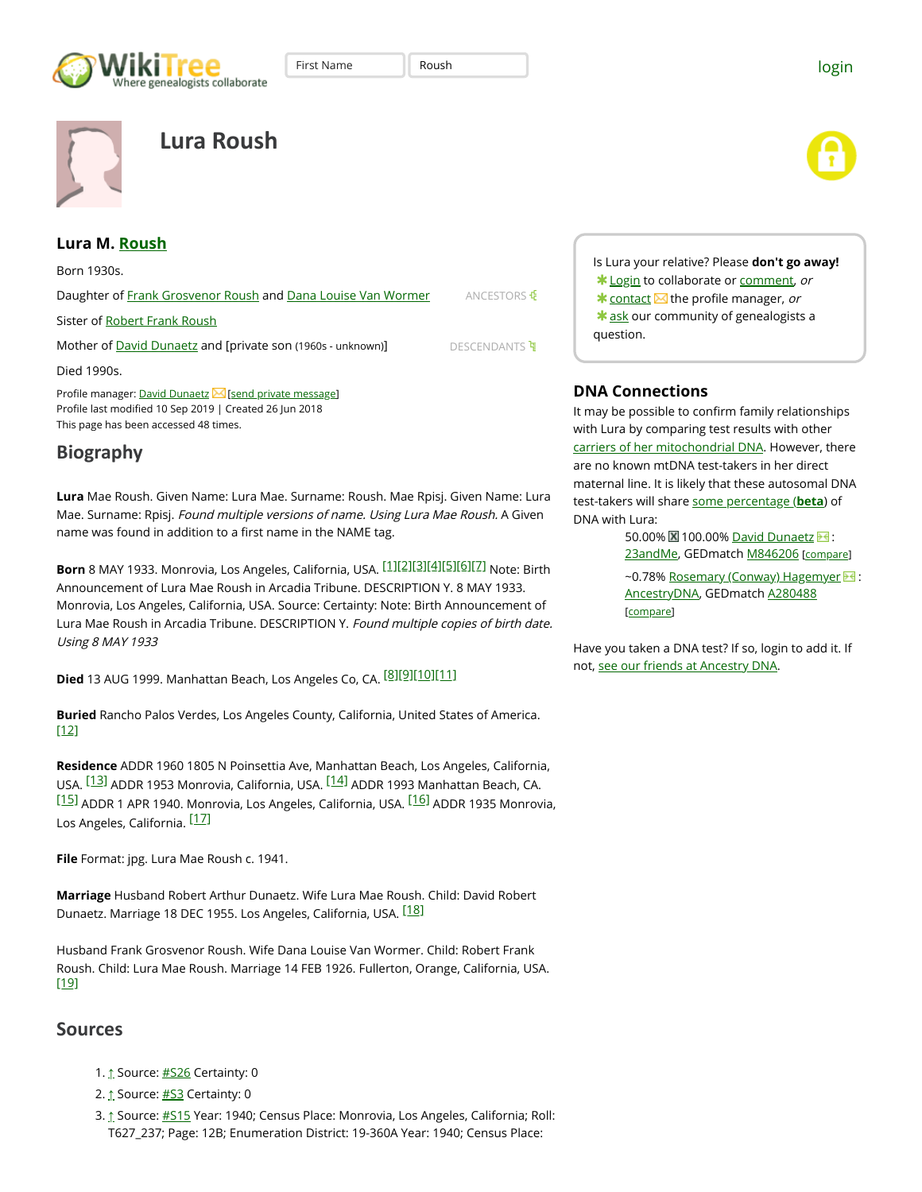



# **Lura Roush**



#### **Lura M. [Roush](https://www.wikitree.com/genealogy/ROUSH)**

ANCESTORS & DESCENDANTS<sup>T</sup> Born 1930s. Daughter of [Frank Grosvenor Roush](https://www.wikitree.com/wiki/Roush-548) and [Dana Louise Van Wormer](https://www.wikitree.com/wiki/Van%20Wormer-472) Sister of [Robert Frank Roush](https://www.wikitree.com/wiki/Roush-549) Mother of **[David Dunaetz](https://www.wikitree.com/wiki/Dunaetz-1)** and [private son (1960s - unknown)] Died 1990s. Profile manager: [David Dunaetz](https://www.wikitree.com/wiki/Dunaetz-1) $\boxtimes$  [[send private message](https://www.wikitree.com/index.php?title=Special:PrivateMessage&who=19568573&ref=21931058)] Profile last modified 10 Sep 2019 | Created 26 Jun 2018 This page has been accessed 48 times.

## **Biography**

**Lura** Mae Roush. Given Name: Lura Mae. Surname: Roush. Mae Rpisj. Given Name: Lura Mae. Surname: Rpisj. Found multiple versions of name. Using Lura Mae Roush. A Given name was found in addition to a first name in the NAME tag.

**Born** 8 MAY 1933. Monrovia, Los Angeles, California, USA. [\[1\]](#page-0-0)[\[2\]](#page-0-1)[\[3\]](#page-0-2)[\[4\]](#page-1-0)[\[5\]](#page-1-1)[\[6\]](#page-1-2)[\[7\]](#page-1-3) Note: Birth Announcement of Lura Mae Roush in Arcadia Tribune. DESCRIPTION Y. 8 MAY 1933. Monrovia, Los Angeles, California, USA. Source: Certainty: Note: Birth Announcement of Lura Mae Roush in Arcadia Tribune. DESCRIPTION Y. Found multiple copies of birth date. Using 8 MAY 1933

**Died** 13 AUG 1999. Manhattan Beach, Los Angeles Co, CA. [\[8\]](#page-1-4)[\[9\]](#page-1-5)[\[10\]](#page-1-6)[\[11\]](#page-1-7)

<span id="page-0-14"></span>**Buried** Rancho Palos Verdes, Los Angeles County, California, United States of America. [\[12\]](#page-1-8)

<span id="page-0-17"></span><span id="page-0-16"></span><span id="page-0-15"></span>**Residence** ADDR 1960 1805 N Poinsettia Ave, Manhattan Beach, Los Angeles, California, USA. <sup>[\[13\]](#page-1-9)</sup> ADDR 1953 Monrovia, California, USA. <sup>[\[14\]](#page-1-10)</sup> ADDR 1993 Manhattan Beach, CA. [\[15\]](#page-1-11) ADDR 1 APR 1940. Monrovia, Los Angeles, California, USA. <sup>[\[16\]](#page-1-12)</sup> ADDR 1935 Monrovia, Los Angeles, California. <sup>[\[17\]](#page-1-13)</sup>

<span id="page-0-19"></span>**File** Format: jpg. Lura Mae Roush c. 1941.

**Marriage** Husband Robert Arthur Dunaetz. Wife Lura Mae Roush. Child: David Robert Dunaetz. Marriage 18 DEC 1955. Los Angeles, California, USA. <sup>[\[18\]](#page-1-14)</sup>

<span id="page-0-21"></span>Husband Frank Grosvenor Roush. Wife Dana Louise Van Wormer. Child: Robert Frank Roush. Child: Lura Mae Roush. Marriage 14 FEB 1926. Fullerton, Orange, California, USA. [\[19\]](#page-1-15)

### **Sources**

- <span id="page-0-0"></span>1. [↑](#page-0-3) Source: [#S26](#page-1-16) Certainty: 0
- <span id="page-0-1"></span>2. [↑](#page-0-4) Source: [#S3](#page-1-17) Certainty: 0
- <span id="page-0-2"></span>3. [↑](#page-0-5) Source: [#S15](#page-1-18) Year: 1940; Census Place: Monrovia, Los Angeles, California; Roll: T627\_237; Page: 12B; Enumeration District: 19-360A Year: 1940; Census Place:

Is Lura your relative? Please **don't go away!** \* [Login](https://www.wikitree.com/index.php?title=Special:Userlogin) to collaborate or [comment](#page-2-0), or  $*$  [contact](https://www.wikitree.com/index.php?title=Special:PrivateMessage&who=19568573&ref=21931058)  $\blacksquare$  the profile manager, or  $*$  ask our community of genealogists a question.

### **DNA Connections**

First Name  $\|\cdot\|$  Roush  $\|\cdot\|$ 

It may be possible to confirm family relationships with Lura by comparing test results with other [carriers of her mitochondrial DNA](https://www.wikitree.com/treewidget/Roush-546/890). However, there are no known mtDNA test-takers in her direct maternal line. It is likely that these autosomal DNA test-takers will share [some percentage \(](https://www.wikitree.com/wiki/Help:DNA_Test_Connections#Percentages_of_Shared_DNA)**beta**) of DNA with Lura:

> 50.00% 2 100.00% [David Dunaetz](https://www.wikitree.com/wiki/Dunaetz-1) 3 : [23andMe](http://www.kqzyfj.com/click-3382244-12374685-1445621191000), GEDmatch [M846206](https://www.gedmatch.com/OneToManyWikiTree.php?kit_num=M846206) [compare]

~0.78% [Rosemary \(Conway\) Hagemyer](https://www.wikitree.com/wiki/Conway-1496) > : [AncestryDNA](https://prf.hn/click/camref:1011l4xx5/creativeref:1011l28282/type:cpc/), GEDmatch [A280488](https://www.gedmatch.com/OneToManyWikiTree.php?kit_num=A280488) [compare]

<span id="page-0-20"></span><span id="page-0-18"></span><span id="page-0-13"></span><span id="page-0-12"></span><span id="page-0-11"></span><span id="page-0-10"></span><span id="page-0-9"></span><span id="page-0-8"></span><span id="page-0-7"></span><span id="page-0-6"></span><span id="page-0-5"></span><span id="page-0-4"></span><span id="page-0-3"></span>Have you taken a DNA test? If so, login to add it. If not, [see our friends at Ancestry DNA](https://prf.hn/click/camref:1011l4xx5/creativeref:1011l28282/type:cpc/).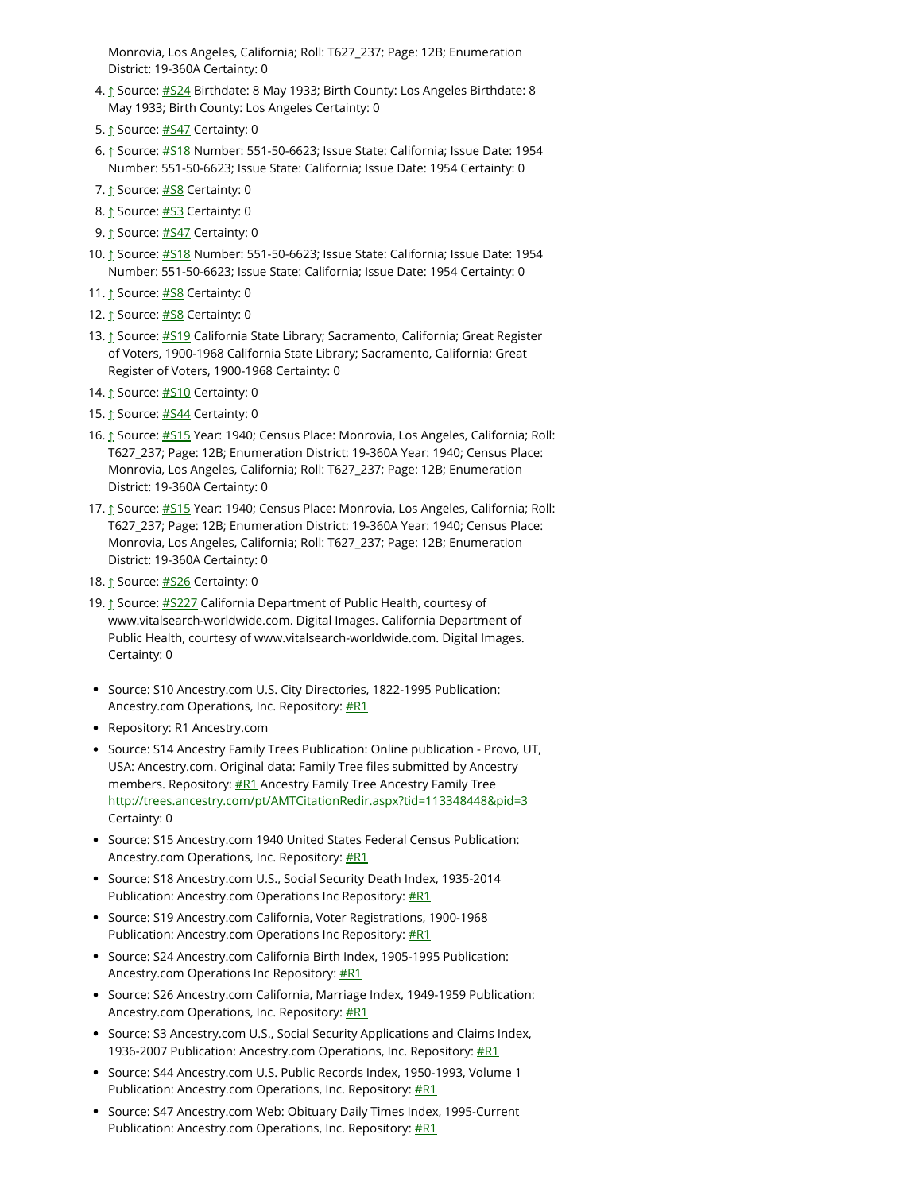Monrovia, Los Angeles, California; Roll: T627\_237; Page: 12B; Enumeration District: 19-360A Certainty: 0

- <span id="page-1-0"></span>4. [↑](#page-0-6) Source: [#S24](#page-1-19) Birthdate: 8 May 1933; Birth County: Los Angeles Birthdate: 8 May 1933; Birth County: Los Angeles Certainty: 0
- <span id="page-1-1"></span>5. [↑](#page-0-7) Source: [#S47](#page-1-20) Certainty: 0
- <span id="page-1-2"></span>6. [↑](#page-0-8) Source: [#S18](#page-1-21) Number: 551-50-6623; Issue State: California; Issue Date: 1954 Number: 551-50-6623; Issue State: California; Issue Date: 1954 Certainty: 0
- <span id="page-1-3"></span>7. [↑](#page-0-9) Source: [#S8](#page-2-1) Certainty: 0
- <span id="page-1-4"></span>8. [↑](#page-0-10) Source: [#S3](#page-1-17) Certainty: 0
- <span id="page-1-5"></span>9. [↑](#page-0-11) Source: [#S47](#page-1-20) Certainty: 0
- <span id="page-1-6"></span>10. [↑](#page-0-12) Source: [#S18](#page-1-21) Number: 551-50-6623; Issue State: California; Issue Date: 1954 Number: 551-50-6623; Issue State: California; Issue Date: 1954 Certainty: 0
- <span id="page-1-7"></span>11. [↑](#page-0-13) Source: [#S8](#page-2-1) Certainty: 0
- <span id="page-1-8"></span>12. [↑](#page-0-14) Source: [#S8](#page-2-1) Certainty: 0
- <span id="page-1-9"></span>13. [↑](#page-0-15) Source: [#S19](#page-1-22) California State Library; Sacramento, California; Great Register of Voters, 1900-1968 California State Library; Sacramento, California; Great Register of Voters, 1900-1968 Certainty: 0
- <span id="page-1-10"></span>14. [↑](#page-0-16) Source: [#S10](#page-1-23) Certainty: 0
- <span id="page-1-11"></span>15. [↑](#page-0-17) Source: [#S44](#page-1-24) Certainty: 0
- <span id="page-1-12"></span>16. [↑](#page-0-18) Source: [#S15](#page-1-18) Year: 1940; Census Place: Monrovia, Los Angeles, California; Roll: T627\_237; Page: 12B; Enumeration District: 19-360A Year: 1940; Census Place: Monrovia, Los Angeles, California; Roll: T627\_237; Page: 12B; Enumeration District: 19-360A Certainty: 0
- <span id="page-1-13"></span>17. [↑](#page-0-19) Source: [#S15](#page-1-18) Year: 1940; Census Place: Monrovia, Los Angeles, California; Roll: T627\_237; Page: 12B; Enumeration District: 19-360A Year: 1940; Census Place: Monrovia, Los Angeles, California; Roll: T627\_237; Page: 12B; Enumeration District: 19-360A Certainty: 0
- <span id="page-1-14"></span>18. [↑](#page-0-20) Source: [#S26](#page-1-16) Certainty: 0
- <span id="page-1-15"></span>19. [↑](#page-0-21) Source: #S227 California Department of Public Health, courtesy of www.vitalsearch-worldwide.com. Digital Images. California Department of Public Health, courtesy of www.vitalsearch-worldwide.com. Digital Images. Certainty: 0
- <span id="page-1-23"></span>• Source: S10 Ancestry.com U.S. City Directories, 1822-1995 Publication: Ancestry.com Operations, Inc. Repository: **[#R1](#page-1-25)**
- <span id="page-1-25"></span>Repository: R1 Ancestry.com
- Source: S14 Ancestry Family Trees Publication: Online publication Provo, UT, USA: Ancestry.com. Original data: Family Tree files submitted by Ancestry members. Repository: **#R1** Ancestry Family Tree Ancestry Family Tree [http://trees.ancestry.com/pt/AMTCitationRedir.aspx?tid=113348448&pid=3](https://ancestry.prf.hn/click/camref:1011l4xx5/type:cpc/destination:http://trees.ancestry.com/pt/AMTCitationRedir.aspx?tid=113348448&pid=3) Certainty: 0
- <span id="page-1-18"></span>Source: S15 Ancestry.com 1940 United States Federal Census Publication: Ancestry.com Operations, Inc. Repository: **[#R1](#page-1-25)**
- <span id="page-1-21"></span>Source: S18 Ancestry.com U.S., Social Security Death Index, 1935-2014 Publication: Ancestry.com Operations Inc Repository:  $#R1$
- <span id="page-1-22"></span>• Source: S19 Ancestry.com California, Voter Registrations, 1900-1968 Publication: Ancestry.com Operations Inc Repository: **[#R1](#page-1-25)**
- <span id="page-1-19"></span>• Source: S24 Ancestry.com California Birth Index, 1905-1995 Publication: Ancestry.com Operations Inc Repository: **[#R1](#page-1-25)**
- <span id="page-1-16"></span>Source: S26 Ancestry.com California, Marriage Index, 1949-1959 Publication: Ancestry.com Operations, Inc. Repository: [#R1](#page-1-25)
- <span id="page-1-17"></span>• Source: S3 Ancestry.com U.S., Social Security Applications and Claims Index, 1936-2007 Publication: Ancestry.com Operations, Inc. Repository: **[#R1](#page-1-25)**
- <span id="page-1-24"></span>Source: S44 Ancestry.com U.S. Public Records Index, 1950-1993, Volume 1 Publication: Ancestry.com Operations, Inc. Repository:  $#R1$
- <span id="page-1-20"></span>• Source: S47 Ancestry.com Web: Obituary Daily Times Index, 1995-Current Publication: Ancestry.com Operations, Inc. Repository:  $#R1$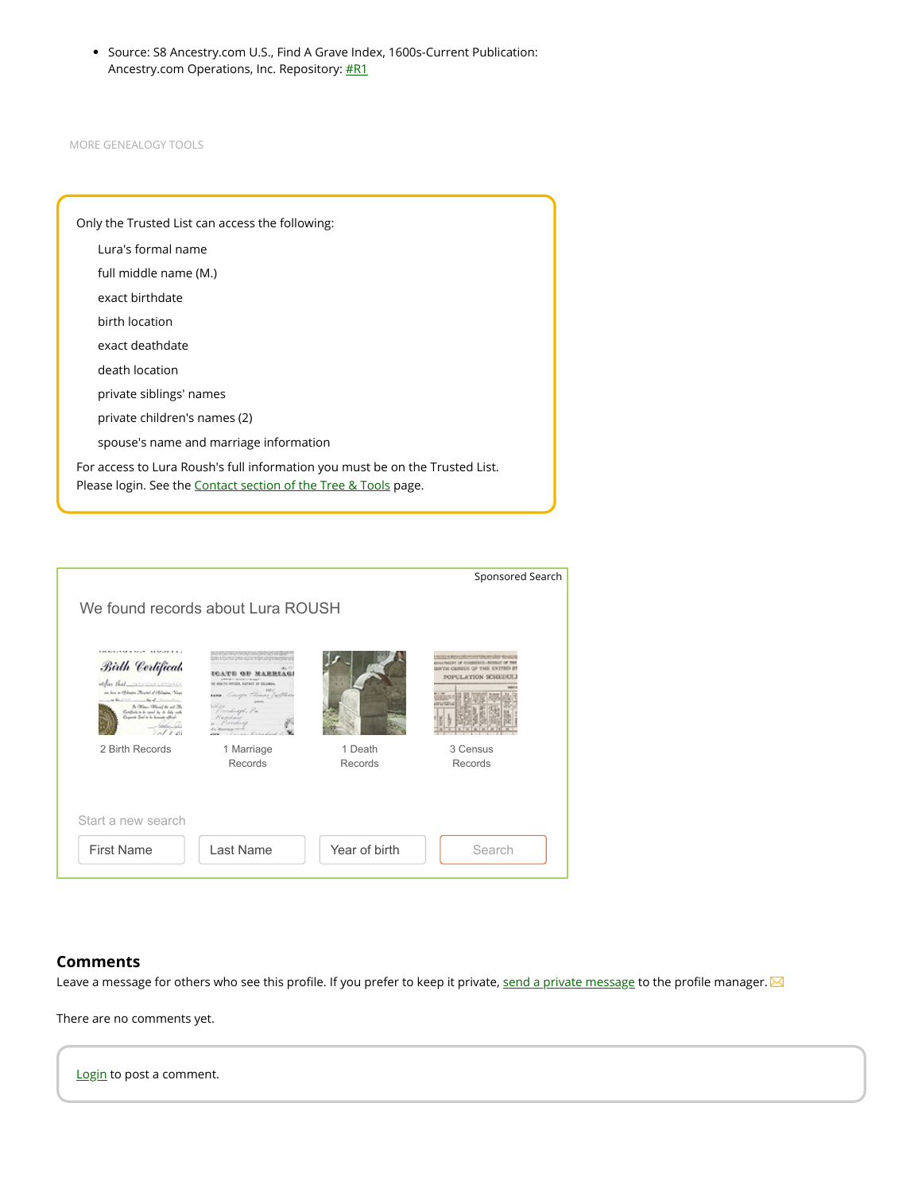<span id="page-2-1"></span>Source: S8 Ancestry.com U.S., Find A Grave Index, 1600s-Current Publication: Ancestry.com Operations, Inc. Repository: **[#R1](#page-1-25)** 

MORE [GENEALOGY](https://www.wikitree.com/genealogy/Roush-Family-Tree-546) TOOLS

| Only the Trusted List can access the following:                                                                                                 |  |  |  |
|-------------------------------------------------------------------------------------------------------------------------------------------------|--|--|--|
| Lura's formal name                                                                                                                              |  |  |  |
| full middle name (M.)                                                                                                                           |  |  |  |
| exact birthdate                                                                                                                                 |  |  |  |
| birth location                                                                                                                                  |  |  |  |
| exact deathdate                                                                                                                                 |  |  |  |
| death location                                                                                                                                  |  |  |  |
| private siblings' names                                                                                                                         |  |  |  |
| private children's names (2)                                                                                                                    |  |  |  |
| spouse's name and marriage information                                                                                                          |  |  |  |
| For access to Lura Roush's full information you must be on the Trusted List.<br>Please login. See the Contact section of the Tree & Tools page. |  |  |  |
|                                                                                                                                                 |  |  |  |

|                                                                                                                                                                                                                                                                               |                                                                                                                                                                                                                     |                    | Sponsored Search                                                                                               |  |
|-------------------------------------------------------------------------------------------------------------------------------------------------------------------------------------------------------------------------------------------------------------------------------|---------------------------------------------------------------------------------------------------------------------------------------------------------------------------------------------------------------------|--------------------|----------------------------------------------------------------------------------------------------------------|--|
| We found records about Lura ROUSH                                                                                                                                                                                                                                             |                                                                                                                                                                                                                     |                    |                                                                                                                |  |
|                                                                                                                                                                                                                                                                               |                                                                                                                                                                                                                     |                    |                                                                                                                |  |
| <b>LINEARD A MAY LEMOT LEV</b><br>Birth Certifical<br>utifies that were concerned<br>on her is Of lining Keytol of Of lining, Vest<br>the state we had december<br>A. Office: Office of the will 36<br>Controls to be cased by its daily and<br>Grand Sal to is import office | and the companies are the the Shakes of<br>also entre tra cinta al 200 estas cananzas para un<br>NE MONTH OFFICER, DISTRICT OF COLUMNA<br>Genero Thomas Tellen<br>64,500<br>Pirriburgh, Pa<br>Kaschan<br>Providents |                    | www.adamatique.com/2019<br>WE THAT HE COMPASSED WE THERE IS NOT<br>ENTH CENTUS OF THE UN<br>POPULATION SCHEDUI |  |
| 2 Birth Records                                                                                                                                                                                                                                                               | 1 Marriage<br>Records                                                                                                                                                                                               | 1 Death<br>Records | 3 Census<br>Records                                                                                            |  |
|                                                                                                                                                                                                                                                                               |                                                                                                                                                                                                                     |                    |                                                                                                                |  |
| Start a new search                                                                                                                                                                                                                                                            |                                                                                                                                                                                                                     |                    |                                                                                                                |  |
| <b>First Name</b>                                                                                                                                                                                                                                                             | Last Name                                                                                                                                                                                                           | Year of birth      | Search                                                                                                         |  |
|                                                                                                                                                                                                                                                                               |                                                                                                                                                                                                                     |                    |                                                                                                                |  |

#### <span id="page-2-0"></span>**Comments**

Leave a message for others who see this profile. If you prefer to keep it private, [send a private message](https://www.wikitree.com/index.php?title=Special:PrivateMessage&who=19568573&ref=21931058) to the profile manager. M

There are no comments yet.

[Login](https://www.wikitree.com/index.php?title=Special:Userlogin) to post a comment.